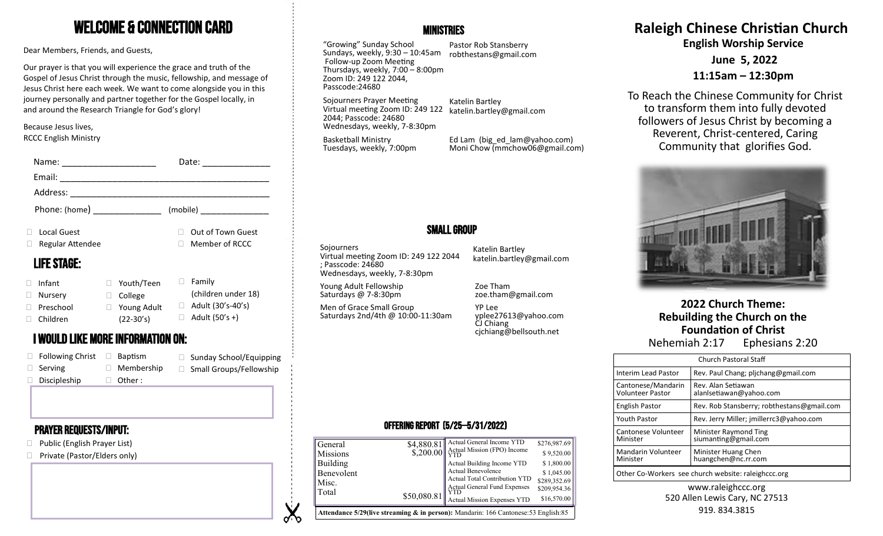# Welcome & Connection Card

Dear Members, Friends, and Guests,

Our prayer is that you will experience the grace and truth of the Gospel of Jesus Christ through the music, fellowship, and message of Jesus Christ here each week. We want to come alongside you in this journey personally and partner together for the Gospel locally, in and around the Research Triangle for God's glory!

Because Jesus lives, RCCC English Ministry

| Name:                                          |                                           | Date:                                              |
|------------------------------------------------|-------------------------------------------|----------------------------------------------------|
| Email:                                         |                                           |                                                    |
| Address:                                       |                                           |                                                    |
| Phone: (home) _______________                  |                                           | (mobile)                                           |
| Local Guest<br>П<br>Regular Attendee<br>□      |                                           | Out of Town Guest<br>Member of RCCC                |
| <b>LIFE STAGE:</b>                             |                                           |                                                    |
| Infant<br>П<br>□<br>Nursery<br>Preschool<br>П. | Youth/Teen<br>College<br>Young Adult<br>Ш | Family<br>(children under 18)<br>Adult (30's-40's) |
| П.<br>Children                                 | $(22-30's)$                               | Adult (50's +)                                     |

# **Nehemiah 2:17** Ephesians 2:20 **I WOULD LIKE MORE INFORMATION ON:** The state of the contract of the contract of the contract of the contract of the contract of the contract of the contract of the contract of the contract o

| $\Box$ Following Christ | Baptism           | $\Box$ Sunday School/Equipping |
|-------------------------|-------------------|--------------------------------|
| $\Box$ Serving          | $\Box$ Membership | $\Box$ Small Groups/Fellowship |
| $\Box$ Discipleship     | $\Box$ Other:     |                                |

# Prayer requests/Input:

- □ Public (English Prayer List)
- □ Private (Pastor/Elders only)



"Growing" Sunday School Sundays, weekly, 9:30 – 10:45am robthestans@gmail.com Follow-up Zoom Meeting Thursdays, weekly, 7:00 – 8:00pm Zoom ID: 249 122 2044, Passcode:24680

Pastor Rob Stansberry

Sojourners Prayer Meeting Virtual meeting Zoom ID: 249 122 2044; Passcode: 24680 Wednesdays, weekly, 7-8:30pm

Katelin Bartley katelin.bartley@gmail.com

Basketball Ministry Tuesdays, weekly, 7:00pm Ed Lam (big\_ed\_lam@yahoo.com) Moni Chow (mmchow06@gmail.com)

# Small Group

**Sojourners** Virtual meeting Zoom ID: 249 122 2044 ; Passcode: 24680 Wednesdays, weekly, 7-8:30pm

Young Adult Fellowship Saturdays @ 7-8:30pm

**V** ৵ Men of Grace Small Group Saturdays 2nd/4th @ 10:00-11:30am

Katelin Bartley katelin.bartley@gmail.com

Zoe Tham zoe.tham@gmail.com

YP Lee yplee27613@yahoo.com CJ Chiang cjchiang@bellsouth.net

## Offering Report (5/25—5/31/2022)

| General<br><b>Missions</b>                                                                      | \$4,880.81<br>\$,200.00 | Actual General Income YTD<br>Actual Mission (FPO) Income | \$276,987.69<br>\$9,520.00 |  |
|-------------------------------------------------------------------------------------------------|-------------------------|----------------------------------------------------------|----------------------------|--|
| Building                                                                                        |                         | Actual Building Income YTD<br>Actual Benevolence         | \$1,800.00                 |  |
| Benevolent<br>Misc.                                                                             |                         | Actual Total Contribution YTD                            | \$1,045.00<br>\$289,352.69 |  |
| Total                                                                                           | \$50,080.81             | Actual General Fund Expenses                             | \$209,954.36               |  |
|                                                                                                 |                         | <b>Actual Mission Expenses YTD</b>                       | \$16,570.00                |  |
| <b>Attendance 5/29(live streaming &amp; in person):</b> Mandarin: 166 Cantonese: 53 English: 85 |                         |                                                          |                            |  |

# **Raleigh Chinese Christian Church**

**English Worship Service**

**June 5, 2022**

**11:15am – 12:30pm**

To Reach the Chinese Community for Christ to transform them into fully devoted followers of Jesus Christ by becoming a Reverent, Christ-centered, Caring Community that glorifies God.



**2022 Church Theme: Rebuilding the Church on the Foundation of Christ**

| <b>Church Pastoral Staff</b>                        |                                               |  |
|-----------------------------------------------------|-----------------------------------------------|--|
| Interim Lead Pastor                                 | Rev. Paul Chang; plichang@gmail.com           |  |
| Cantonese/Mandarin<br><b>Volunteer Pastor</b>       | Rev. Alan Setiawan<br>alanlsetiawan@yahoo.com |  |
| English Pastor                                      | Rev. Rob Stansberry; robthestans@gmail.com    |  |
| <b>Youth Pastor</b>                                 | Rev. Jerry Miller; jmillerrc3@yahoo.com       |  |
| Cantonese Volunteer<br>Minister                     | Minister Raymond Ting<br>siumanting@gmail.com |  |
| Mandarin Volunteer<br>Minister                      | Minister Huang Chen<br>huangchen@nc.rr.com    |  |
| Other Co-Workers see church website: raleighccc.org |                                               |  |

www.raleighccc.org 520 Allen Lewis Cary, NC 27513 919.834.3815